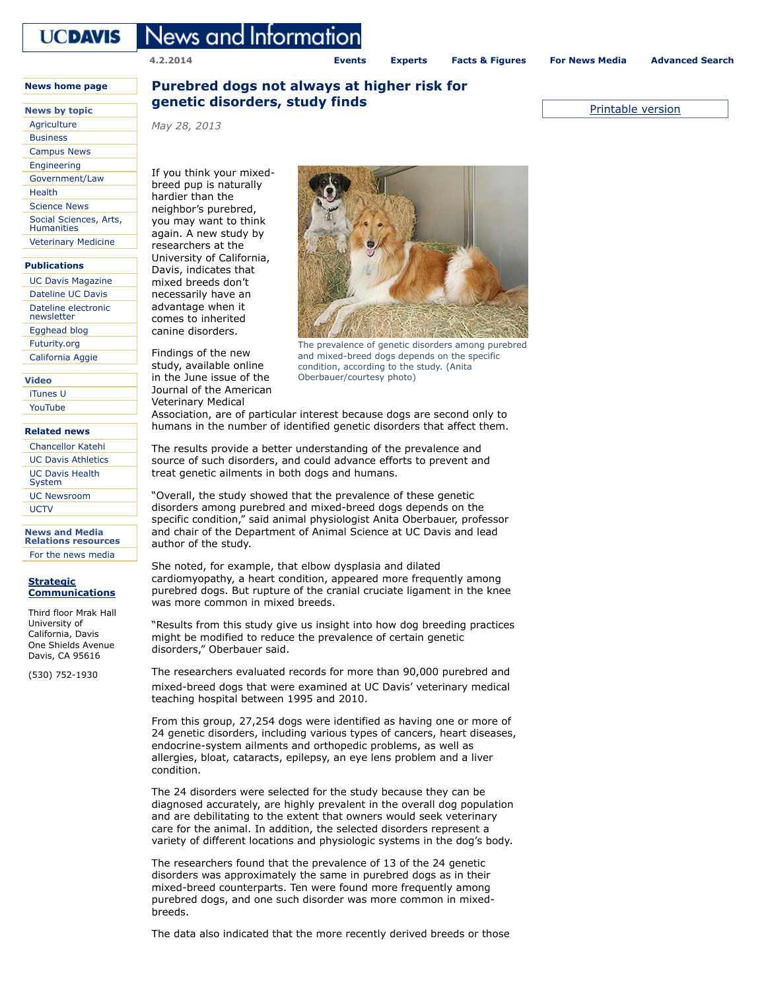# **UCDAVIS**

**4.2.2014**

**[Events](http://calendar.ucdavis.edu/) [Experts](http://news.ucdavis.edu/sources/) [Facts & Figures](http://www.ucdavis.edu/about/facts/) [For News Media](http://strategiccommunications.ucdavis.edu/for_media.html) [Advanced Search](http://news.ucdavis.edu/search/index.lasso)**

## **News by topic genetic disorders, study finds example 2 and 1 and 2 and 2 and 2 and 2 and 2 and 2 and 2 and 2 and 2 and 2 and 2 and 2 and 2 and 2 and 2 and 2 and 2 and 2 and 2 and 2 and 2 and 2 and 2 and 2 and 2 and 2 Purebred dogs not always at higher risk for**

News and Informatioı

*May 28, 2013*

If you think your mixedbreed pup is naturally hardier than the neighbor's purebred, you may want to think again. A new study by researchers at the University of California, Davis, indicates that mixed breeds don't necessarily have an advantage when it comes to inherited canine disorders.

Findings of the new study, available online in the June issue of the Journal of the American Veterinary Medical

The prevalence of genetic disorders among purebred and mixed-breed dogs depends on the specific condition, according to the study. (Anita Oberbauer/courtesy photo)

Association, are of particular interest because dogs are second only to humans in the number of identified genetic disorders that affect them.

The results provide a better understanding of the prevalence and source of such disorders, and could advance efforts to prevent and treat genetic ailments in both dogs and humans.

"Overall, the study showed that the prevalence of these genetic disorders among purebred and mixed-breed dogs depends on the specific condition," said animal physiologist Anita Oberbauer, professor and chair of the Department of Animal Science at UC Davis and lead author of the study.

She noted, for example, that elbow dysplasia and dilated cardiomyopathy, a heart condition, appeared more frequently among purebred dogs. But rupture of the cranial cruciate ligament in the knee was more common in mixed breeds.

"Results from this study give us insight into how dog breeding practices might be modified to reduce the prevalence of certain genetic disorders," Oberbauer said.

The researchers evaluated records for more than 90,000 purebred and mixed-breed dogs that were examined at UC Davis' veterinary medical teaching hospital between 1995 and 2010.

From this group, 27,254 dogs were identified as having one or more of 24 genetic disorders, including various types of cancers, heart diseases, endocrine-system ailments and orthopedic problems, as well as allergies, bloat, cataracts, epilepsy, an eye lens problem and a liver condition.

The 24 disorders were selected for the study because they can be diagnosed accurately, are highly prevalent in the overall dog population and are debilitating to the extent that owners would seek veterinary care for the animal. In addition, the selected disorders represent a variety of different locations and physiologic systems in the dog's body.

The researchers found that the prevalence of 13 of the 24 genetic disorders was approximately the same in purebred dogs as in their mixed-breed counterparts. Ten were found more frequently among purebred dogs, and one such disorder was more common in mixedbreeds.

The data also indicated that the more recently derived breeds or those

**[News home page](http://news.ucdavis.edu/)**

[Agriculture](http://news.ucdavis.edu/?category=Agriculture) [Business](http://news.ucdavis.edu/?category=Business) [Campus News](http://news.ucdavis.edu/?category=Campus) [Engineering](http://news.ucdavis.edu/?category=Engineering) [Government/Law](http://news.ucdavis.edu/?category=Government/Law) [Health](http://news.ucdavis.edu/?category=Health) [Science News](http://news.ucdavis.edu/?category=Science) [Social Sciences, Arts,](http://news.ucdavis.edu/?category=Social) Humanities [Veterinary Medicine](http://news.ucdavis.edu/?category=Veterinary)

#### **[Publications](http://news.ucdavis.edu/publications.lasso)**

[UC Davis Magazine](http://ucdavismagazine.ucdavis.edu/) [Dateline UC Davis](http://dateline.ucdavis.edu/) [Dateline electronic](http://datelinearchive.ucdavis.edu/) newsletter [Egghead blog](http://blogs.ucdavis.edu/egghead/) [Futurity.org](http://www.futurity.org/university/university-of-california-at-davis/) [California Aggie](http://theaggie.org/)

### **Video**

[iTunes U](http://itunes.ucdavis.edu/) [YouTube](http://www.ucdavis.edu/social-media/youtube.html)

#### **[Related news](http://news.ucdavis.edu/related_news.lasso)**

[Chancellor Katehi](http://chancellor.ucdavis.edu/) [UC Davis Athletics](http://ucdavisaggies.ocsn.com/) [UC Davis Health](http://www.ucdmc.ucdavis.edu/publish/news/newsroom/) System [UC Newsroom](http://universityofcalifornia.edu/news) **[UCTV](http://www.uctv.tv/)** 

**News and Media Relations resources**

[For the news media](http://strategiccommunications.ucdavis.edu/for_media.html)

#### **Strategic [Communications](http://ucomm.ucdavis.edu/)**

Third floor Mrak Hall University of California, Davis One Shields Avenue Davis, CA 95616

(530) 752-1930